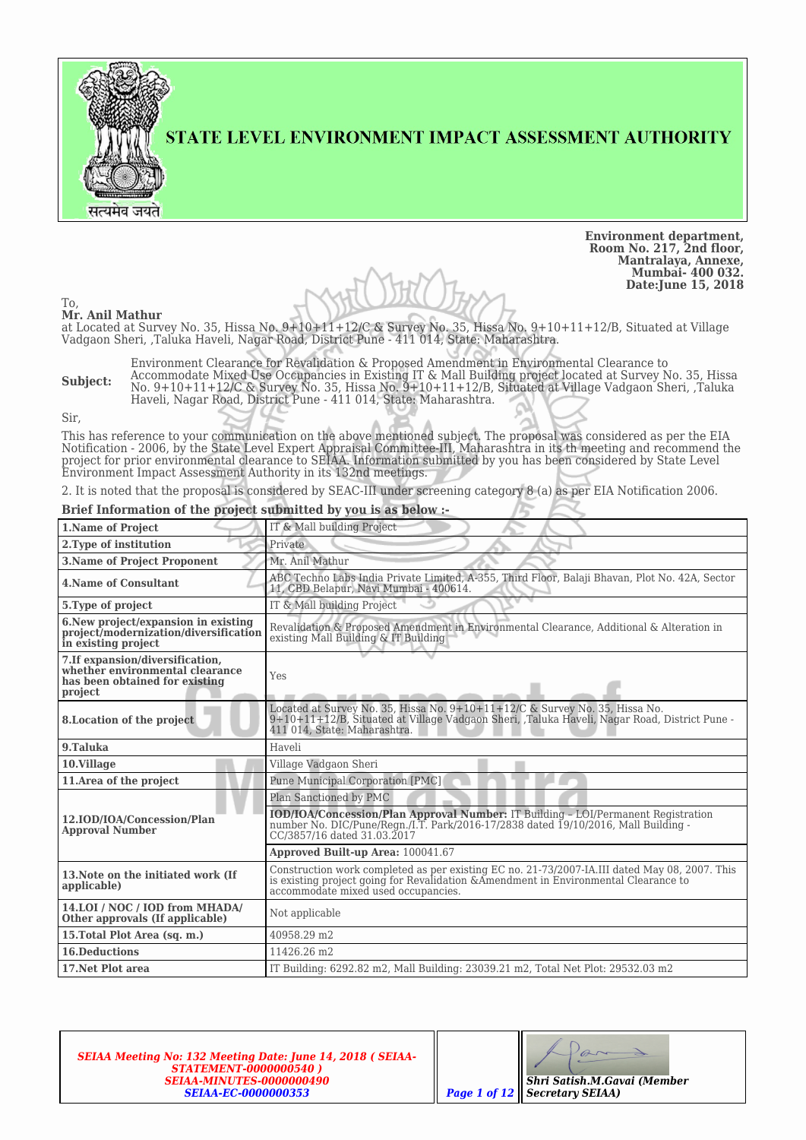

STATE LEVEL ENVIRONMENT IMPACT ASSESSMENT AUTHORITY

**Environment department, Room No. 217, 2nd floor, Mantralaya, Annexe, Mumbai- 400 032. Date:June 15, 2018**

To, **Mr. Anil Mathur**

at Located at Survey No. 35, Hissa No. 9+10+11+12/C & Survey No. 35, Hissa No. 9+10+11+12/B, Situated at Village Vadgaon Sheri, ,Taluka Haveli, Nagar Road, District Pune - 411 014, State: Maharashtra.

**Subject:** Environment Clearance for Revalidation & Proposed Amendment in Environmental Clearance to Accommodate Mixed Use Occupancies in Existing IT & Mall Building project located at Survey No. 35, Hissa No. 9+10+11+12/C & Survey No. 35, Hissa No. 9+10+11+12/B, Situated at Village Vadgaon Sheri, ,Taluka Haveli, Nagar Road, District Pune - 411 014, State: Maharashtra.

Sir,

This has reference to your communication on the above mentioned subject. The proposal was considered as per the EIA Notification - 2006, by the State Level Expert Appraisal Committee-III, Maharashtra in its th meeting and recommend the project for prior environmental clearance to SEIAA. Information submitted by you has been considered by State Level Environment Impact Assessment Authority in its 132nd meetings.

2. It is noted that the proposal is considered by SEAC-III under screening category 8 (a) as per EIA Notification 2006.

#### **Brief Information of the project submitted by you is as below :-**

| 1.Name of Project                                                                                               | IT & Mall building Project                                                                                                                                                                                                   |  |  |  |  |  |
|-----------------------------------------------------------------------------------------------------------------|------------------------------------------------------------------------------------------------------------------------------------------------------------------------------------------------------------------------------|--|--|--|--|--|
| 2. Type of institution                                                                                          | Private                                                                                                                                                                                                                      |  |  |  |  |  |
| <b>3.Name of Project Proponent</b>                                                                              | Mr. Anil Mathur                                                                                                                                                                                                              |  |  |  |  |  |
| <b>4. Name of Consultant</b>                                                                                    | ABC Techno Labs India Private Limited, A-355, Third Floor, Balaji Bhavan, Plot No. 42A, Sector<br>11, CBD Belapur, Navi Mumbai - 400614.                                                                                     |  |  |  |  |  |
| 5. Type of project                                                                                              | IT & Mall building Project                                                                                                                                                                                                   |  |  |  |  |  |
| 6. New project/expansion in existing<br>project/modernization/diversification<br>in existing project            | Revalidation & Proposed Amendment in Environmental Clearance, Additional & Alteration in<br>existing Mall Building & IT Building                                                                                             |  |  |  |  |  |
| 7.If expansion/diversification,<br>whether environmental clearance<br>has been obtained for existing<br>project | Yes                                                                                                                                                                                                                          |  |  |  |  |  |
| 8. Location of the project                                                                                      | Located at Survey No. 35, Hissa No. 9+10+11+12/C & Survey No. 35, Hissa No.<br>9+10+11+12/B, Situated at Village Vadgaon Sheri, Taluka Haveli, Nagar Road, District Pune -<br>411 014, State: Maharashtra.                   |  |  |  |  |  |
| 9.Taluka                                                                                                        | Haveli                                                                                                                                                                                                                       |  |  |  |  |  |
| 10.Village                                                                                                      | Village Vadgaon Sheri                                                                                                                                                                                                        |  |  |  |  |  |
| 11. Area of the project                                                                                         | <b>Pune Municipal Corporation [PMC]</b>                                                                                                                                                                                      |  |  |  |  |  |
|                                                                                                                 | Plan Sanctioned by PMC                                                                                                                                                                                                       |  |  |  |  |  |
| 12.IOD/IOA/Concession/Plan<br><b>Approval Number</b>                                                            | IOD/IOA/Concession/Plan Approval Number: IT Building - LOI/Permanent Registration<br>number No. DIC/Pune/Regn./I.T. Park/2016-17/2838 dated 19/10/2016, Mall Building -<br>CC/3857/16 dated 31.03.2017                       |  |  |  |  |  |
|                                                                                                                 | Approved Built-up Area: 100041.67                                                                                                                                                                                            |  |  |  |  |  |
| 13. Note on the initiated work (If<br>applicable)                                                               | Construction work completed as per existing EC no. 21-73/2007-IA.III dated May 08, 2007. This<br>is existing project going for Revalidation & Amendment in Environmental Clearance to<br>accommodate mixed used occupancies. |  |  |  |  |  |
| 14.LOI / NOC / IOD from MHADA/<br>Other approvals (If applicable)                                               | Not applicable                                                                                                                                                                                                               |  |  |  |  |  |
| 15. Total Plot Area (sq. m.)                                                                                    | 40958.29 m2                                                                                                                                                                                                                  |  |  |  |  |  |
| <b>16.Deductions</b>                                                                                            | 11426.26 m2                                                                                                                                                                                                                  |  |  |  |  |  |
| 17. Net Plot area                                                                                               | IT Building: 6292.82 m2. Mall Building: 23039.21 m2. Total Net Plot: 29532.03 m2                                                                                                                                             |  |  |  |  |  |

*SEIAA Meeting No: 132 Meeting Date: June 14, 2018 ( SEIAA-STATEMENT-0000000540 ) SEIAA-MINUTES-0000000490 SEIAA-EC-0000000353 Page 1 of 12*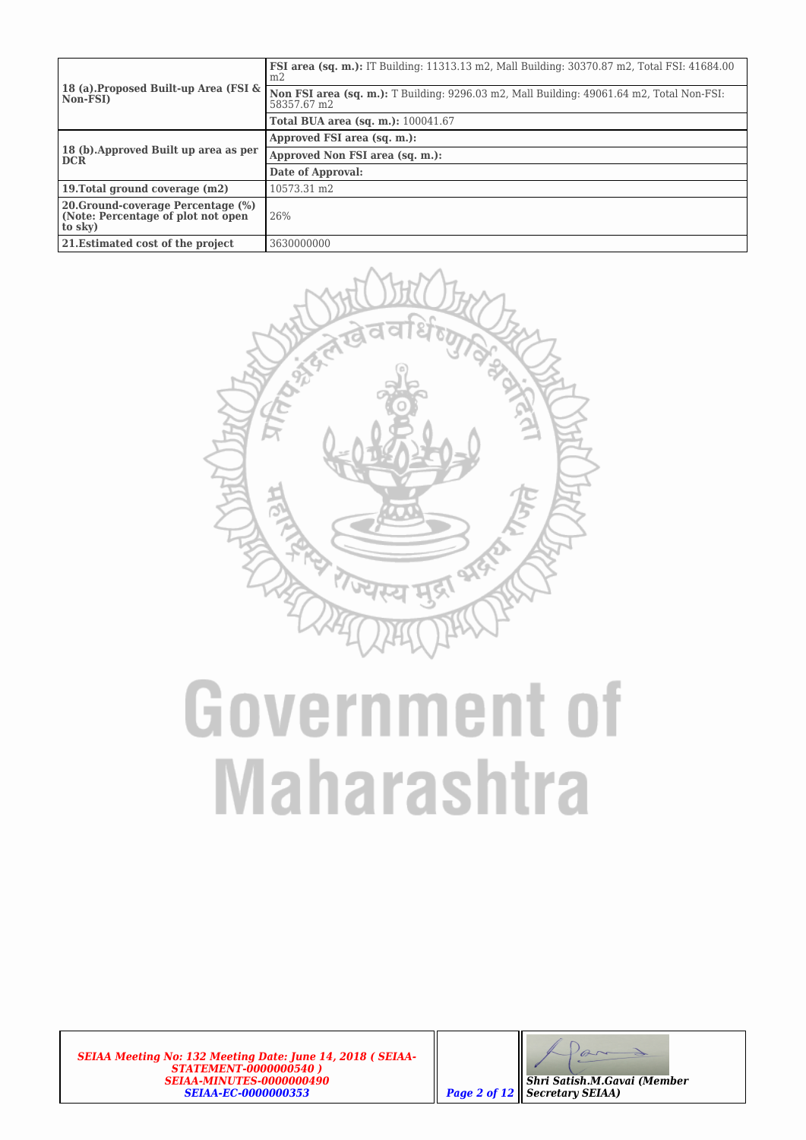|                                                                                     | <b>FSI area (sq. m.):</b> IT Building: 11313.13 m2, Mall Building: 30370.87 m2, Total FSI: 41684.00<br>m2 |  |  |  |  |
|-------------------------------------------------------------------------------------|-----------------------------------------------------------------------------------------------------------|--|--|--|--|
| 18 (a). Proposed Built-up Area (FSI &<br>  Non-FSI)                                 | Non FSI area (sq. m.): T Building: 9296.03 m2, Mall Building: 49061.64 m2, Total Non-FSI:<br>58357.67 m2  |  |  |  |  |
|                                                                                     | <b>Total BUA area (sq. m.):</b> 100041.67                                                                 |  |  |  |  |
|                                                                                     | Approved FSI area (sq. m.):                                                                               |  |  |  |  |
| 18 (b). Approved Built up area as per<br><b>DCR</b>                                 | Approved Non FSI area (sq. m.):                                                                           |  |  |  |  |
|                                                                                     | Date of Approval:                                                                                         |  |  |  |  |
| 19. Total ground coverage (m2)                                                      | 10573.31 m2                                                                                               |  |  |  |  |
| 20. Ground-coverage Percentage (%)<br>(Note: Percentage of plot not open<br>to sky) | 26%                                                                                                       |  |  |  |  |
| 21. Estimated cost of the project                                                   | 3630000000                                                                                                |  |  |  |  |



*SEIAA Meeting No: 132 Meeting Date: June 14, 2018 ( SEIAA-STATEMENT-0000000540 ) SEIAA-MINUTES-0000000490 SEIAA-EC-0000000353 Page 2 of 12*

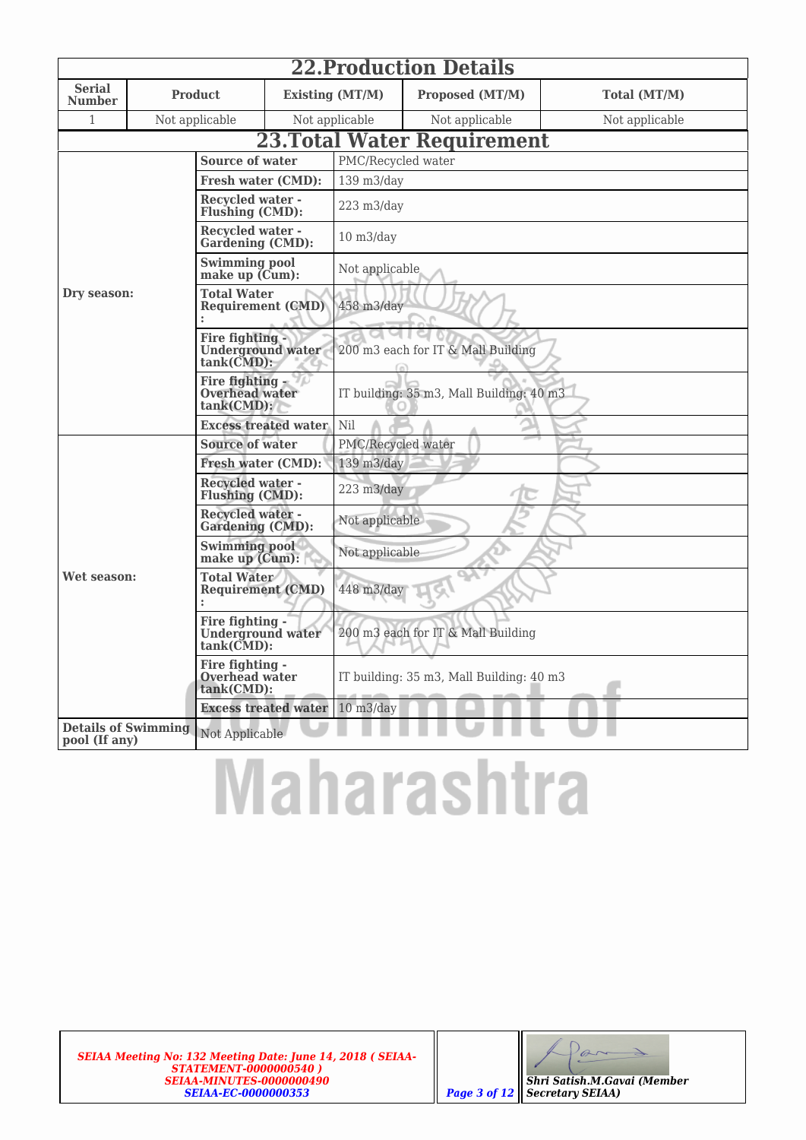|                                             | <b>22. Production Details</b>                                |                                                        |                                                |                                          |                                    |                |  |  |  |  |  |
|---------------------------------------------|--------------------------------------------------------------|--------------------------------------------------------|------------------------------------------------|------------------------------------------|------------------------------------|----------------|--|--|--|--|--|
| <b>Serial</b><br><b>Number</b>              |                                                              | <b>Product</b>                                         |                                                | Existing (MT/M)                          | Proposed (MT/M)                    | Total (MT/M)   |  |  |  |  |  |
| 1                                           |                                                              | Not applicable                                         |                                                | Not applicable                           | Not applicable                     | Not applicable |  |  |  |  |  |
|                                             |                                                              |                                                        |                                                |                                          | <b>23. Total Water Requirement</b> |                |  |  |  |  |  |
|                                             |                                                              | <b>Source of water</b>                                 |                                                |                                          | PMC/Recycled water                 |                |  |  |  |  |  |
|                                             |                                                              | <b>Fresh water (CMD):</b>                              |                                                | 139 m3/day                               |                                    |                |  |  |  |  |  |
|                                             |                                                              | <b>Recycled water -</b><br>Flushing (CMD):             |                                                | 223 m3/day                               |                                    |                |  |  |  |  |  |
|                                             |                                                              | <b>Recycled water -</b><br><b>Gardening (CMD):</b>     |                                                | $10 \frac{\text{m3}}{\text{day}}$        |                                    |                |  |  |  |  |  |
|                                             |                                                              | <b>Swimming pool</b><br>make up (Cum):                 |                                                | Not applicable                           |                                    |                |  |  |  |  |  |
| Dry season:                                 |                                                              |                                                        | <b>Total Water</b><br><b>Requirement (CMD)</b> |                                          | 458 m3/day                         |                |  |  |  |  |  |
|                                             | Fire fighting -<br><b>Underground water</b><br>tank(CMD):    |                                                        | 200 m3 each for IT & Mall Building             |                                          |                                    |                |  |  |  |  |  |
|                                             |                                                              | Fire fighting -<br>Overhead water<br>tank(CMD):        |                                                | IT building: 35 m3, Mall Building: 40 m3 |                                    |                |  |  |  |  |  |
|                                             |                                                              | <b>Excess treated water</b>                            |                                                | Nil                                      |                                    |                |  |  |  |  |  |
|                                             |                                                              | <b>Source of water</b>                                 |                                                | PMC/Recycled water                       |                                    |                |  |  |  |  |  |
|                                             |                                                              | <b>Fresh water (CMD):</b>                              |                                                | 139 m3/day                               |                                    |                |  |  |  |  |  |
|                                             |                                                              | <b>Recycled water -</b><br>Flushing (CMD):             |                                                | 223 m3/day                               |                                    |                |  |  |  |  |  |
|                                             |                                                              | <b>Recycled water -</b><br><b>Gardening (CMD):</b>     |                                                | Not applicable                           |                                    |                |  |  |  |  |  |
|                                             |                                                              | <b>Swimming pool</b><br>make up $(Cum)$ :              |                                                | Not applicable                           |                                    |                |  |  |  |  |  |
| Wet season:                                 | <b>Total Water</b><br><b>Requirement (CMD)</b>               |                                                        | 448 m3/day                                     |                                          |                                    |                |  |  |  |  |  |
|                                             | Fire fighting -<br><b>Underground</b> water<br>$tank(CMD)$ : |                                                        | 200 m3 each for IT & Mall Building             |                                          |                                    |                |  |  |  |  |  |
|                                             |                                                              | Fire fighting -<br><b>Overhead water</b><br>tank(CMD): |                                                | IT building: 35 m3, Mall Building: 40 m3 |                                    |                |  |  |  |  |  |
|                                             |                                                              | <b>Excess treated water</b>                            |                                                | $10 \frac{\text{m3}}{\text{day}}$        |                                    |                |  |  |  |  |  |
| <b>Details of Swimming</b><br>pool (If any) |                                                              | Not Applicable                                         |                                                |                                          |                                    |                |  |  |  |  |  |

### **Maharashtra**

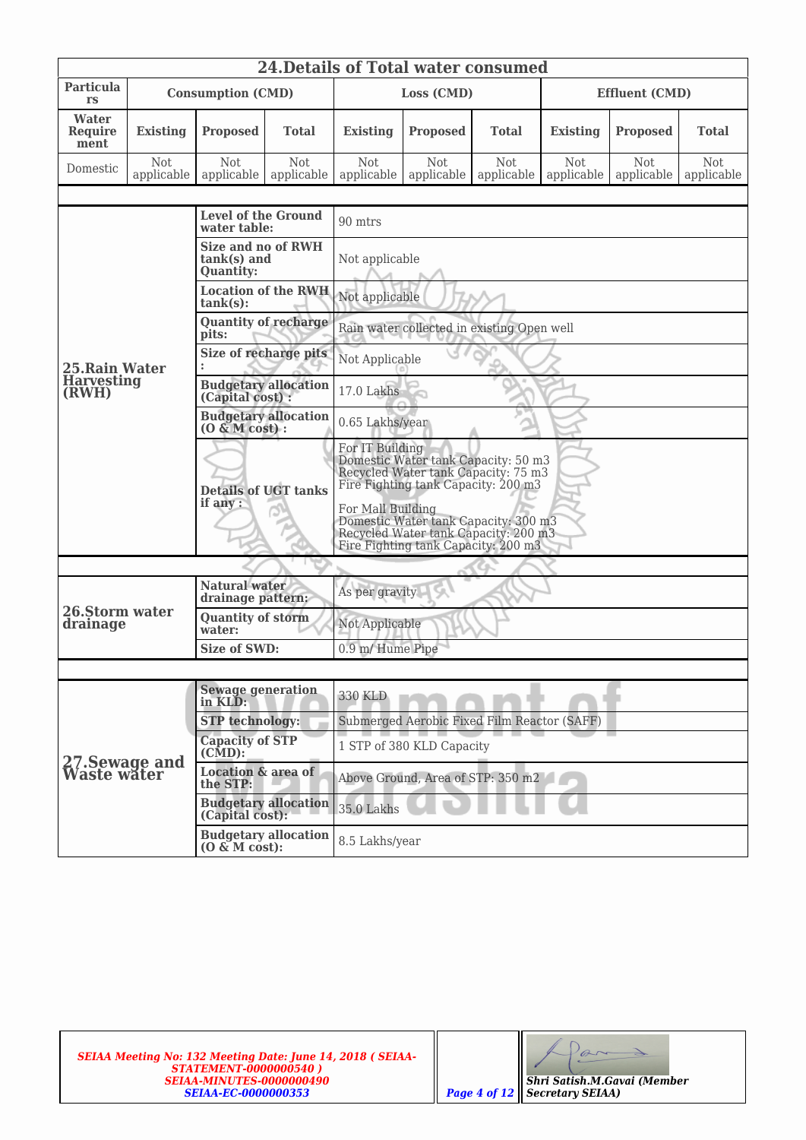| <b>24. Details of Total water consumed</b> |                   |                                                                |                             |                                                                                                                                                                                                                                                                                  |                                            |                          |                          |                          |                          |  |
|--------------------------------------------|-------------------|----------------------------------------------------------------|-----------------------------|----------------------------------------------------------------------------------------------------------------------------------------------------------------------------------------------------------------------------------------------------------------------------------|--------------------------------------------|--------------------------|--------------------------|--------------------------|--------------------------|--|
| Particula<br>rs                            |                   | <b>Consumption (CMD)</b>                                       |                             | Loss (CMD)                                                                                                                                                                                                                                                                       |                                            |                          | <b>Effluent (CMD)</b>    |                          |                          |  |
| Water<br><b>Require</b><br>ment            | <b>Existing</b>   | <b>Proposed</b>                                                | <b>Total</b>                | <b>Existing</b>                                                                                                                                                                                                                                                                  | <b>Proposed</b>                            | Total                    | <b>Existing</b>          | <b>Proposed</b>          | <b>Total</b>             |  |
| Domestic                                   | Not<br>applicable | Not<br>applicable                                              | Not<br>applicable           | Not<br>applicable                                                                                                                                                                                                                                                                | <b>Not</b><br>applicable                   | <b>Not</b><br>applicable | <b>Not</b><br>applicable | <b>Not</b><br>applicable | <b>Not</b><br>applicable |  |
|                                            |                   |                                                                |                             |                                                                                                                                                                                                                                                                                  |                                            |                          |                          |                          |                          |  |
|                                            |                   | <b>Level of the Ground</b><br>water table:                     |                             | 90 mtrs                                                                                                                                                                                                                                                                          |                                            |                          |                          |                          |                          |  |
|                                            |                   | <b>Size and no of RWH</b><br>$tank(s)$ and<br><b>Quantity:</b> |                             | Not applicable                                                                                                                                                                                                                                                                   |                                            |                          |                          |                          |                          |  |
|                                            |                   | $tank(s)$ :                                                    | <b>Location of the RWH</b>  | Not applicable                                                                                                                                                                                                                                                                   |                                            |                          |                          |                          |                          |  |
|                                            |                   | <b>Quantity of recharge</b><br>pits:                           |                             |                                                                                                                                                                                                                                                                                  | Rain water collected in existing Open well |                          |                          |                          |                          |  |
| 25. Rain Water                             |                   | Size of recharge pits<br>$\ddot{\phantom{a}}$                  |                             | Not Applicable                                                                                                                                                                                                                                                                   |                                            |                          |                          |                          |                          |  |
| <b>Harvesting</b><br>(RWH)                 |                   | <b>Budgetary allocation</b><br>(Capital cost) :                |                             | 17.0 Lakhs                                                                                                                                                                                                                                                                       |                                            |                          |                          |                          |                          |  |
|                                            |                   | <b>Budgetary allocation</b><br>$(0 \& M \text{ cost})$ :       |                             | 0.65 Lakhs/year                                                                                                                                                                                                                                                                  |                                            |                          |                          |                          |                          |  |
|                                            |                   | <b>Details of UGT tanks</b><br>if any :                        |                             | For IT Building<br>Domestic Water tank Capacity: 50 m3<br>Recycled Water tank Capacity: 75 m3<br>Fire Fighting tank Capacity: 200 m3<br>For Mall Building<br>Domestic Water tank Capacity: 300 m3<br>Recycled Water tank Capacity: 200 m3<br>Fire Fighting tank Capacity: 200 m3 |                                            |                          |                          |                          |                          |  |
|                                            |                   |                                                                |                             |                                                                                                                                                                                                                                                                                  |                                            |                          |                          |                          |                          |  |
|                                            |                   | Natural water<br>drainage pattern:                             |                             | As per gravity                                                                                                                                                                                                                                                                   |                                            |                          |                          |                          |                          |  |
| 26.Storm water<br>drainage                 |                   | <b>Quantity of storm</b><br>water:                             |                             | Not Applicable                                                                                                                                                                                                                                                                   |                                            |                          |                          |                          |                          |  |
|                                            |                   | <b>Size of SWD:</b>                                            |                             | 0.9 m/ Hume Pipe                                                                                                                                                                                                                                                                 |                                            |                          |                          |                          |                          |  |
|                                            |                   |                                                                |                             |                                                                                                                                                                                                                                                                                  |                                            |                          |                          |                          |                          |  |
|                                            |                   | <b>Sewage generation</b><br>in KLD:                            |                             | <b>330 KLD</b>                                                                                                                                                                                                                                                                   |                                            |                          |                          |                          |                          |  |
|                                            |                   | <b>STP</b> technology:                                         |                             | Submerged Aerobic Fixed Film Reactor (SAFF)                                                                                                                                                                                                                                      |                                            |                          |                          |                          |                          |  |
|                                            |                   | <b>Capacity of STP</b><br>$(CMD)$ :                            |                             | 1 STP of 380 KLD Capacity                                                                                                                                                                                                                                                        |                                            |                          |                          |                          |                          |  |
| 27. Sewage and<br>Waste water              |                   | <b>Location &amp; area of</b><br>the STP:                      |                             |                                                                                                                                                                                                                                                                                  | Above Ground, Area of STP: 350 m2          |                          |                          |                          |                          |  |
|                                            |                   | (Capital cost):                                                | <b>Budgetary allocation</b> | 35.0 Lakhs                                                                                                                                                                                                                                                                       |                                            |                          |                          |                          |                          |  |
|                                            |                   | <b>Budgetary allocation</b><br>$(0 \& M \text{ cost})$ :       |                             | 8.5 Lakhs/year                                                                                                                                                                                                                                                                   |                                            |                          |                          |                          |                          |  |

| <b>Shri Satish.M.Gavai (Member</b> |
|------------------------------------|

*Secretary SEIAA)*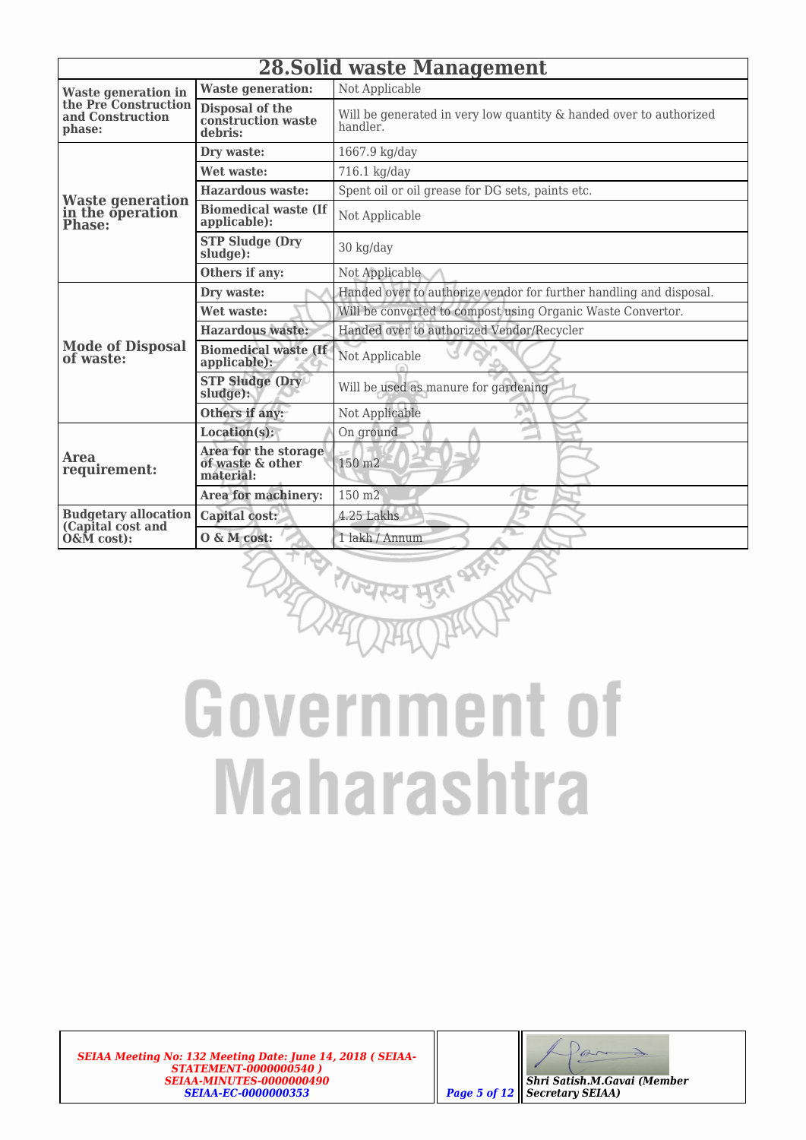|                                                    | <b>28. Solid waste Management</b>                     |                                                                                |  |  |  |  |  |
|----------------------------------------------------|-------------------------------------------------------|--------------------------------------------------------------------------------|--|--|--|--|--|
| <b>Waste generation in</b>                         | <b>Waste generation:</b>                              | Not Applicable                                                                 |  |  |  |  |  |
| the Pre Construction<br>and Construction<br>phase: | Disposal of the<br>construction waste<br>debris:      | Will be generated in very low quantity & handed over to authorized<br>handler. |  |  |  |  |  |
|                                                    | Dry waste:                                            | 1667.9 kg/day                                                                  |  |  |  |  |  |
|                                                    | Wet waste:                                            | 716.1 kg/day                                                                   |  |  |  |  |  |
|                                                    | <b>Hazardous waste:</b>                               | Spent oil or oil grease for DG sets, paints etc.                               |  |  |  |  |  |
| Waste generation<br>in the operation<br>Phase:     | <b>Biomedical waste (If</b><br>applicable):           | Not Applicable                                                                 |  |  |  |  |  |
|                                                    | <b>STP Sludge (Dry</b><br>sludge):                    | 30 kg/day                                                                      |  |  |  |  |  |
|                                                    | Others if any:                                        | Not Applicable                                                                 |  |  |  |  |  |
|                                                    | Dry waste:                                            | Handed over to authorize vendor for further handling and disposal.             |  |  |  |  |  |
|                                                    | Wet waste:                                            | Will be converted to compost using Organic Waste Convertor.                    |  |  |  |  |  |
|                                                    | <b>Hazardous waste:</b>                               | Handed over to authorized Vendor/Recycler                                      |  |  |  |  |  |
| <b>Mode of Disposal</b><br>of waste:               | <b>Biomedical waste (If</b><br>applicable):           | Not Applicable                                                                 |  |  |  |  |  |
|                                                    | <b>STP Sludge (Dry</b><br>sludge):                    | Will be used as manure for gardening                                           |  |  |  |  |  |
|                                                    | Others if any:                                        | Not Applicable                                                                 |  |  |  |  |  |
|                                                    | Location(s):                                          | On ground                                                                      |  |  |  |  |  |
| <b>Area</b><br>requirement:                        | Area for the storage<br>of waste & other<br>material: | 150 m <sub>2</sub>                                                             |  |  |  |  |  |
|                                                    | Area for machinery:                                   | 150 m <sub>2</sub>                                                             |  |  |  |  |  |
| <b>Budgetary allocation</b><br>(Capital cost and   | Capital cost:                                         | 4.25 Lakhs                                                                     |  |  |  |  |  |
| O&M cost):                                         | O & M cost:                                           | 1 lakh / Annum                                                                 |  |  |  |  |  |



*SEIAA Meeting No: 132 Meeting Date: June 14, 2018 ( SEIAA-STATEMENT-0000000540 ) SEIAA-MINUTES-0000000490 SEIAA-EC-0000000353 Page 5 of 12*

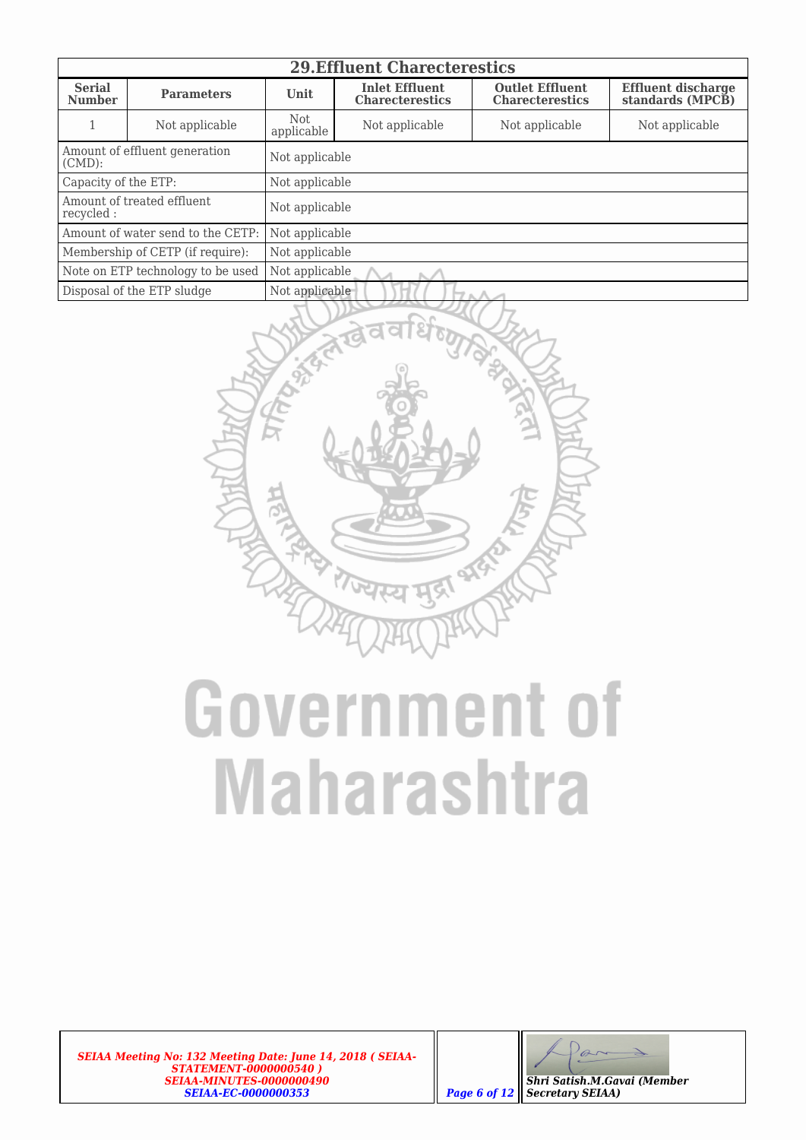|                                            | <b>29. Effluent Charecterestics</b> |                          |                                                 |                                                  |                                               |  |  |  |  |
|--------------------------------------------|-------------------------------------|--------------------------|-------------------------------------------------|--------------------------------------------------|-----------------------------------------------|--|--|--|--|
| <b>Serial</b><br><b>Number</b>             | <b>Parameters</b>                   | Unit                     | <b>Inlet Effluent</b><br><b>Charecterestics</b> | <b>Outlet Effluent</b><br><b>Charecterestics</b> | <b>Effluent discharge</b><br>standards (MPCB) |  |  |  |  |
|                                            | Not applicable                      | <b>Not</b><br>applicable | Not applicable                                  | Not applicable                                   | Not applicable                                |  |  |  |  |
| Amount of effluent generation<br>$(CMD)$ : |                                     | Not applicable           |                                                 |                                                  |                                               |  |  |  |  |
| Capacity of the ETP:                       |                                     | Not applicable           |                                                 |                                                  |                                               |  |  |  |  |
| Amount of treated effluent.<br>recycled:   |                                     | Not applicable           |                                                 |                                                  |                                               |  |  |  |  |
|                                            | Amount of water send to the CETP:   | Not applicable           |                                                 |                                                  |                                               |  |  |  |  |
| Membership of CETP (if require):           |                                     | Not applicable           |                                                 |                                                  |                                               |  |  |  |  |
| Note on ETP technology to be used          |                                     | Not applicable           |                                                 |                                                  |                                               |  |  |  |  |
|                                            | Disposal of the ETP sludge          | Not applicable<br>ワェハ    |                                                 |                                                  |                                               |  |  |  |  |



*SEIAA Meeting No: 132 Meeting Date: June 14, 2018 ( SEIAA-STATEMENT-0000000540 ) SEIAA-MINUTES-0000000490 SEIAA-EC-0000000353 Page 6 of 12*

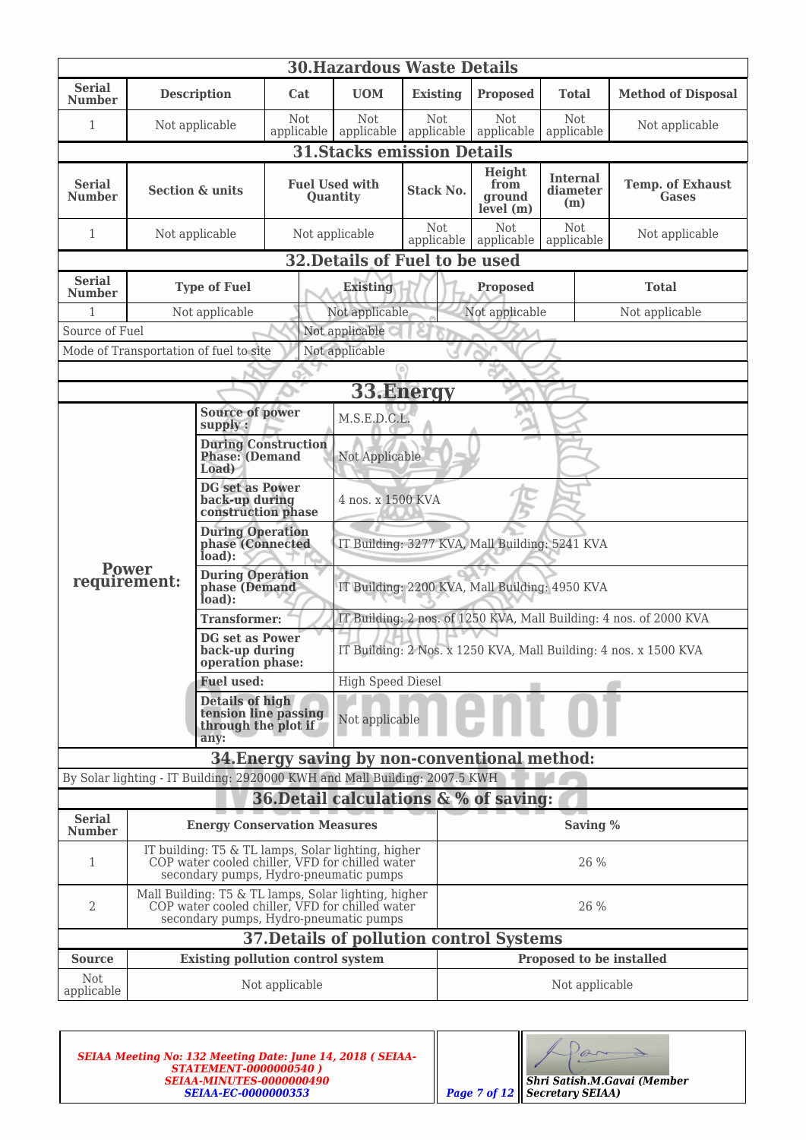|                                | <b>30. Hazardous Waste Details</b>                                                                                                              |                                                                                                                                                   |                                   |                                                                  |                                                |                                                                    |                                    |                                         |  |
|--------------------------------|-------------------------------------------------------------------------------------------------------------------------------------------------|---------------------------------------------------------------------------------------------------------------------------------------------------|-----------------------------------|------------------------------------------------------------------|------------------------------------------------|--------------------------------------------------------------------|------------------------------------|-----------------------------------------|--|
| <b>Serial</b><br><b>Number</b> |                                                                                                                                                 | <b>Description</b>                                                                                                                                | Cat                               | <b>UOM</b>                                                       | <b>Existing</b>                                | <b>Proposed</b>                                                    | <b>Total</b>                       | <b>Method of Disposal</b>               |  |
| 1                              | Not applicable                                                                                                                                  |                                                                                                                                                   | <b>Not</b><br>applicable          | Not<br>applicable                                                | Not<br>applicable                              | Not.<br>applicable                                                 | Not<br>applicable                  | Not applicable                          |  |
|                                |                                                                                                                                                 |                                                                                                                                                   |                                   |                                                                  | <b>31.Stacks emission Details</b>              |                                                                    |                                    |                                         |  |
| Serial<br><b>Number</b>        | <b>Section &amp; units</b>                                                                                                                      |                                                                                                                                                   | <b>Fuel Used with</b><br>Quantity |                                                                  | <b>Stack No.</b>                               | Height<br>from<br>ground<br>level(m)                               | <b>Internal</b><br>diameter<br>(m) | <b>Temp. of Exhaust</b><br><b>Gases</b> |  |
| 1                              |                                                                                                                                                 | Not applicable                                                                                                                                    | Not applicable                    |                                                                  | <b>Not</b><br>applicable                       | Not<br>applicable                                                  | <b>Not</b><br>applicable           | Not applicable                          |  |
|                                |                                                                                                                                                 |                                                                                                                                                   |                                   |                                                                  | 32. Details of Fuel to be used                 |                                                                    |                                    |                                         |  |
| <b>Serial</b><br><b>Number</b> |                                                                                                                                                 | <b>Type of Fuel</b>                                                                                                                               |                                   | <b>Existing</b>                                                  |                                                | <b>Proposed</b>                                                    |                                    | <b>Total</b>                            |  |
| $\mathbf{1}$                   |                                                                                                                                                 | Not applicable                                                                                                                                    |                                   | Not applicable                                                   |                                                | Not applicable                                                     |                                    | Not applicable                          |  |
| Source of Fuel                 |                                                                                                                                                 |                                                                                                                                                   |                                   | Not applicable                                                   |                                                |                                                                    |                                    |                                         |  |
|                                |                                                                                                                                                 | Mode of Transportation of fuel to site                                                                                                            |                                   | Not applicable                                                   |                                                |                                                                    |                                    |                                         |  |
|                                |                                                                                                                                                 |                                                                                                                                                   |                                   |                                                                  |                                                |                                                                    |                                    |                                         |  |
|                                |                                                                                                                                                 |                                                                                                                                                   |                                   |                                                                  | 33. Energy                                     |                                                                    |                                    |                                         |  |
|                                |                                                                                                                                                 | <b>Source of power</b><br>supply:                                                                                                                 |                                   | M.S.E.D.C.L.                                                     |                                                |                                                                    |                                    |                                         |  |
|                                |                                                                                                                                                 | <b>Phase:</b> (Demand<br>Load)                                                                                                                    | <b>During Construction</b>        | Not Applicable                                                   |                                                |                                                                    |                                    |                                         |  |
|                                | <b>DG</b> set as Power<br>back-up during                                                                                                        |                                                                                                                                                   | construction phase                | 4 nos. x 1500 KVA                                                |                                                |                                                                    |                                    |                                         |  |
|                                |                                                                                                                                                 | <b>During Operation</b><br>phase (Connected<br>load):                                                                                             |                                   |                                                                  | IT Building: 3277 KVA, Mall Building: 5241 KVA |                                                                    |                                    |                                         |  |
| <b>Power</b><br>requirement:   |                                                                                                                                                 | <b>During Operation</b><br>phase (Demand<br>load):                                                                                                |                                   | IT Building: 2200 KVA, Mall Building: 4950 KVA                   |                                                |                                                                    |                                    |                                         |  |
|                                |                                                                                                                                                 | <b>Transformer:</b>                                                                                                                               |                                   |                                                                  |                                                | IT Building: 2 nos. of 1250 KVA, Mall Building: 4 nos. of 2000 KVA |                                    |                                         |  |
|                                |                                                                                                                                                 | <b>DG</b> set as Power<br>back-up during<br>operation phase:                                                                                      |                                   | IT Building: 2 Nos. x 1250 KVA, Mall Building: 4 nos. x 1500 KVA |                                                |                                                                    |                                    |                                         |  |
|                                |                                                                                                                                                 | <b>Fuel used:</b>                                                                                                                                 | <b>High Speed Diesel</b>          |                                                                  |                                                |                                                                    |                                    |                                         |  |
|                                |                                                                                                                                                 | <b>Details of high</b><br>tension line passing<br>through the plot if<br>any:                                                                     |                                   | Not applicable                                                   |                                                |                                                                    |                                    |                                         |  |
|                                |                                                                                                                                                 |                                                                                                                                                   |                                   |                                                                  |                                                | 34. Energy saving by non-conventional method:                      |                                    |                                         |  |
|                                |                                                                                                                                                 | By Solar lighting - IT Building: 2920000 KWH and Mall Building: 2007.5 KWH                                                                        |                                   |                                                                  |                                                |                                                                    |                                    |                                         |  |
|                                |                                                                                                                                                 |                                                                                                                                                   |                                   |                                                                  |                                                | 36. Detail calculations & % of saving:                             |                                    |                                         |  |
| <b>Serial</b><br><b>Number</b> |                                                                                                                                                 | <b>Energy Conservation Measures</b>                                                                                                               |                                   |                                                                  |                                                |                                                                    | Saving %                           |                                         |  |
| 1                              | IT building: T5 & TL lamps, Solar lighting, higher<br>COP water cooled chiller, VFD for chilled water<br>secondary pumps, Hydro-pneumatic pumps |                                                                                                                                                   |                                   | 26 %                                                             |                                                |                                                                    |                                    |                                         |  |
| 2                              |                                                                                                                                                 | Mall Building: T5 $\&$ TL lamps, Solar lighting, higher COP water cooled chiller, VFD for chilled water<br>secondary pumps, Hydro-pneumatic pumps |                                   |                                                                  |                                                |                                                                    | 26 %                               |                                         |  |
|                                |                                                                                                                                                 |                                                                                                                                                   |                                   |                                                                  |                                                | <b>37. Details of pollution control Systems</b>                    |                                    |                                         |  |
| <b>Source</b>                  |                                                                                                                                                 | <b>Existing pollution control system</b>                                                                                                          |                                   |                                                                  |                                                |                                                                    | Proposed to be installed           |                                         |  |
| <b>Not</b><br>applicable       |                                                                                                                                                 |                                                                                                                                                   | Not applicable                    |                                                                  |                                                |                                                                    | Not applicable                     |                                         |  |

| <b>SEIAA Meeting No: 132 Meeting Date: June 14, 2018 (SEIAA-</b><br><b>STATEMENT-0000000540)</b><br><b>SEIAA-MINUTES-0000000490</b><br><b>SEIAA-EC-0000000353</b> |  | Shri Satish.M.Gavai (Member<br><b>Page 7 of 12    Secretary SEIAA)</b> |
|-------------------------------------------------------------------------------------------------------------------------------------------------------------------|--|------------------------------------------------------------------------|
|-------------------------------------------------------------------------------------------------------------------------------------------------------------------|--|------------------------------------------------------------------------|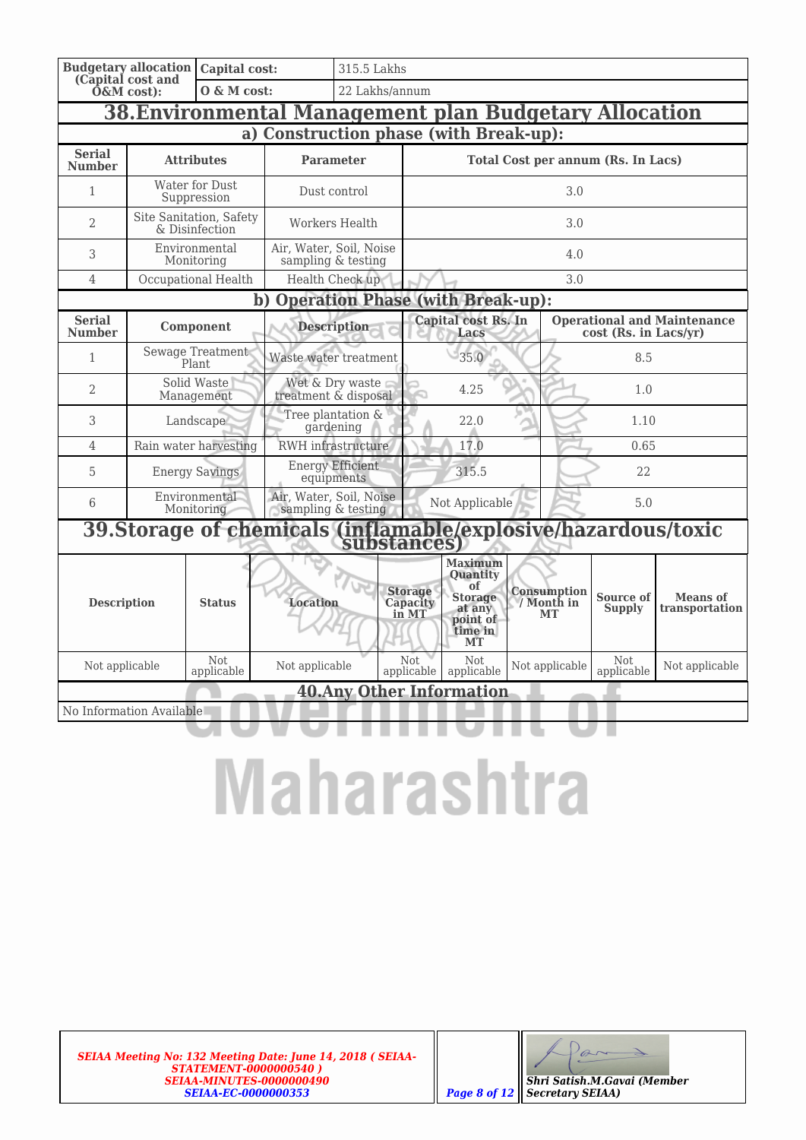|                                | <b>Budgetary allocation</b><br>(Capital cost and              | Capital cost:                             |                                                                              | 315.5 Lakhs                                     |                                                                                                         |                                           |                                        |                     |                                   |                                    |  |
|--------------------------------|---------------------------------------------------------------|-------------------------------------------|------------------------------------------------------------------------------|-------------------------------------------------|---------------------------------------------------------------------------------------------------------|-------------------------------------------|----------------------------------------|---------------------|-----------------------------------|------------------------------------|--|
|                                | $0$ &M cost $)$ :                                             | $0 \& M \text{ cost:}$                    |                                                                              |                                                 | 22 Lakhs/annum                                                                                          |                                           |                                        |                     |                                   |                                    |  |
|                                | <b>38. Environmental Management plan Budgetary Allocation</b> |                                           |                                                                              |                                                 |                                                                                                         |                                           |                                        |                     |                                   |                                    |  |
|                                |                                                               |                                           | a) Construction phase (with Break-up):                                       |                                                 |                                                                                                         |                                           |                                        |                     |                                   |                                    |  |
| <b>Serial</b><br><b>Number</b> |                                                               | <b>Attributes</b>                         |                                                                              | <b>Parameter</b>                                |                                                                                                         | <b>Total Cost per annum (Rs. In Lacs)</b> |                                        |                     |                                   |                                    |  |
| 1                              |                                                               | Water for Dust<br>Suppression             |                                                                              | Dust control                                    |                                                                                                         |                                           |                                        | 3.0                 |                                   |                                    |  |
| $\overline{2}$                 |                                                               | Site Sanitation, Safety<br>& Disinfection |                                                                              | Workers Health                                  |                                                                                                         |                                           |                                        | 3.0                 |                                   |                                    |  |
| 3                              |                                                               | Environmental<br>Monitoring               | Air, Water, Soil, Noise<br>sampling & testing                                |                                                 |                                                                                                         |                                           |                                        | 4.0                 |                                   |                                    |  |
| $\overline{4}$                 |                                                               | Occupational Health                       |                                                                              | Health Check up                                 |                                                                                                         |                                           |                                        | 3.0                 |                                   |                                    |  |
|                                |                                                               |                                           | b) Operation Phase (with Break-up):                                          |                                                 |                                                                                                         |                                           |                                        |                     |                                   |                                    |  |
| <b>Serial</b><br><b>Number</b> | Component                                                     |                                           |                                                                              | <b>Description</b>                              |                                                                                                         | Capital cost Rs. In<br>Lacs               |                                        |                     | cost (Rs. in Lacs/yr)             | <b>Operational and Maintenance</b> |  |
| 1                              |                                                               | Sewage Treatment<br>Plant.                | Waste water treatment                                                        |                                                 |                                                                                                         | 35.0                                      |                                        | 8.5                 |                                   |                                    |  |
| $\overline{2}$                 |                                                               | Solid Waste<br>Management                 |                                                                              | Wet & Dry waste<br>4.25<br>treatment & disposal |                                                                                                         | 1.0                                       |                                        |                     |                                   |                                    |  |
| 3                              |                                                               | Landscape                                 |                                                                              | Tree plantation &<br>22.0<br>gardening          |                                                                                                         | 1.10                                      |                                        |                     |                                   |                                    |  |
| $\overline{4}$                 |                                                               | Rain water harvesting                     | RWH infrastructure                                                           |                                                 | 17.0                                                                                                    |                                           |                                        | 0.65                |                                   |                                    |  |
| 5                              |                                                               | <b>Energy Savings</b>                     |                                                                              | <b>Energy Efficient</b><br>equipments           | 315.5                                                                                                   |                                           | 22                                     |                     |                                   |                                    |  |
| 6                              |                                                               | Environmental<br>Monitoring               | Air, Water, Soil, Noise<br>sampling & testing                                |                                                 |                                                                                                         | Not Applicable                            |                                        |                     | 5.0                               |                                    |  |
|                                |                                                               |                                           | 39.Storage of chemicals (inflamable/explosive/hazardous/toxic<br>substances) |                                                 |                                                                                                         |                                           |                                        |                     |                                   |                                    |  |
| <b>Description</b>             | <b>Location</b><br><b>Status</b>                              |                                           |                                                                              | <b>Storage</b><br>Capacity<br>in MT             | <b>Maximum</b><br><b>Quantity</b><br>of<br><b>Storage</b><br>at any<br>point of<br>time in<br><b>MT</b> |                                           | Consumption<br>/ Month in<br><b>MT</b> | Source of<br>Supply | <b>Means</b> of<br>transportation |                                    |  |
| Not applicable                 |                                                               | Not<br>applicable                         | Not applicable                                                               |                                                 | Not.<br>applicable                                                                                      | Not.<br>applicable                        |                                        | Not applicable      | Not<br>applicable                 | Not applicable                     |  |
|                                |                                                               |                                           |                                                                              |                                                 |                                                                                                         | <b>40. Any Other Information</b>          |                                        |                     |                                   |                                    |  |
| No Information Available       |                                                               |                                           |                                                                              |                                                 |                                                                                                         |                                           |                                        |                     |                                   |                                    |  |
|                                |                                                               |                                           |                                                                              |                                                 |                                                                                                         |                                           |                                        |                     |                                   |                                    |  |

## **Maharashtra**

*SEIAA Meeting No: 132 Meeting Date: June 14, 2018 ( SEIAA-STATEMENT-0000000540 ) SEIAA-MINUTES-0000000490 SEIAA-EC-0000000353 Page 8 of 12*

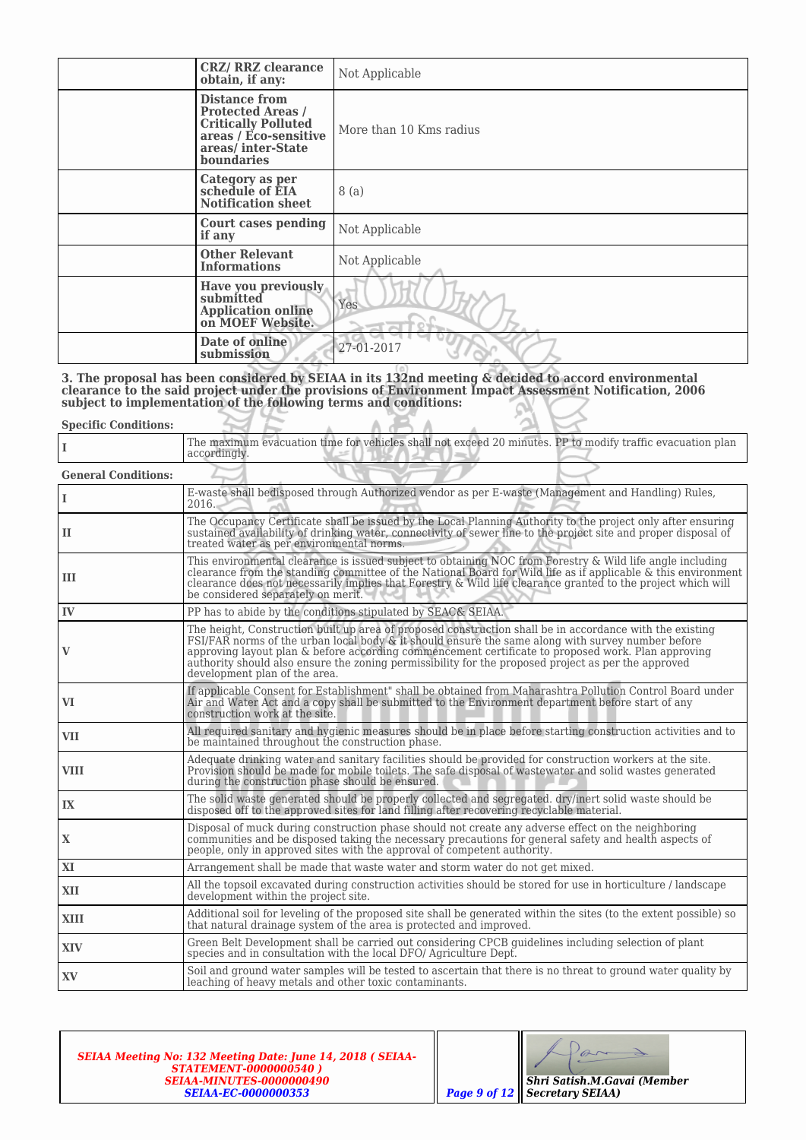| <b>CRZ/ RRZ clearance</b><br>obtain, if any:                                                                                               | Not Applicable          |
|--------------------------------------------------------------------------------------------------------------------------------------------|-------------------------|
| Distance from<br><b>Protected Areas /</b><br><b>Critically Polluted</b><br>areas / Eco-sensitive<br>areas/inter-State<br><b>boundaries</b> | More than 10 Kms radius |
| <b>Category as per<br/>schedule of EIA</b><br><b>Notification sheet</b>                                                                    | 8(a)                    |
| <b>Court cases pending</b><br>if any                                                                                                       | Not Applicable          |
| <b>Other Relevant</b><br><b>Informations</b>                                                                                               | Not Applicable          |
| Have you previously<br>submitted<br><b>Application online</b><br>on MOEF Website.                                                          | Yes                     |
| Date of online<br>submission                                                                                                               | 27-01-2017              |

**3. The proposal has been considered by SEIAA in its 132nd meeting & decided to accord environmental clearance to the said project under the provisions of Environment Impact Assessment Notification, 2006 subject to implementation of the following terms and conditions:**

| <b>Specific Conditions:</b> |                                                                                                                                                                                                                                                                                                                                                                                                                                                             |
|-----------------------------|-------------------------------------------------------------------------------------------------------------------------------------------------------------------------------------------------------------------------------------------------------------------------------------------------------------------------------------------------------------------------------------------------------------------------------------------------------------|
| L                           | The maximum evacuation time for vehicles shall not exceed 20 minutes. PP to modify traffic evacuation plan<br>accordingly.                                                                                                                                                                                                                                                                                                                                  |
| <b>General Conditions:</b>  |                                                                                                                                                                                                                                                                                                                                                                                                                                                             |
| L                           | E-waste shall bedisposed through Authorized vendor as per E-waste (Management and Handling) Rules,<br>2016.                                                                                                                                                                                                                                                                                                                                                 |
| п                           | The Occupancy Certificate shall be issued by the Local Planning Authority to the project only after ensuring<br>sustained availability of drinking water, connectivity of sewer line to the project site and proper disposal of<br>treated water as per environmental norms.                                                                                                                                                                                |
| ш                           | This environmental clearance is issued subject to obtaining NOC from Forestry & Wild life angle including<br>clearance from the standing committee of the National Board for Wild life as if applicable & this environment<br>clearance does not necessarily implies that Forestry & Wild life clearance granted to the project which will<br>be considered separately on merit.                                                                            |
| IV                          | PP has to abide by the conditions stipulated by SEAC& SEIAA.                                                                                                                                                                                                                                                                                                                                                                                                |
| V                           | The height, Construction built up area of proposed construction shall be in accordance with the existing<br>FSI/FAR norms of the urban local body & it should ensure the same along with survey number before<br>approving layout plan & before according commencement certificate to proposed work. Plan approving<br>authority should also ensure the zoning permissibility for the proposed project as per the approved<br>development plan of the area. |
| VI                          | If applicable Consent for Establishment" shall be obtained from Maharashtra Pollution Control Board under<br>Air and Water Act and a copy shall be submitted to the Environment department before start of any<br>construction work at the site.                                                                                                                                                                                                            |
| <b>VII</b>                  | All required sanitary and hygienic measures should be in place before starting construction activities and to<br>be maintained throughout the construction phase.                                                                                                                                                                                                                                                                                           |
| <b>VIII</b>                 | Adequate drinking water and sanitary facilities should be provided for construction workers at the site.<br>Provision should be made for mobile toilets. The safe disposal of wastewater and solid wastes generated<br>during the construction phase should be ensured.                                                                                                                                                                                     |
| IX                          | The solid waste generated should be properly collected and segregated. dry/inert solid waste should be<br>disposed off to the approved sites for land filling after recovering recyclable material.                                                                                                                                                                                                                                                         |
| X                           | Disposal of muck during construction phase should not create any adverse effect on the neighboring<br>communities and be disposed taking the necessary precautions for general safety and health aspects of<br>people, only in approved sites with the approval of competent authority.                                                                                                                                                                     |
| XI                          | Arrangement shall be made that waste water and storm water do not get mixed.                                                                                                                                                                                                                                                                                                                                                                                |
| XII                         | All the topsoil excavated during construction activities should be stored for use in horticulture / landscape<br>development within the project site.                                                                                                                                                                                                                                                                                                       |
| XIII                        | Additional soil for leveling of the proposed site shall be generated within the sites (to the extent possible) so<br>that natural drainage system of the area is protected and improved.                                                                                                                                                                                                                                                                    |
| XIV                         | Green Belt Development shall be carried out considering CPCB guidelines including selection of plant<br>species and in consultation with the local DFO/ Agriculture Dept.                                                                                                                                                                                                                                                                                   |
| XV.                         | Soil and ground water samples will be tested to ascertain that there is no threat to ground water quality by<br>leaching of heavy metals and other toxic contaminants.                                                                                                                                                                                                                                                                                      |

*SEIAA Meeting No: 132 Meeting Date: June 14, 2018 ( SEIAA-STATEMENT-0000000540 ) SEIAA-MINUTES-0000000490 SEIAA-EC-0000000353 Page 9 of 12*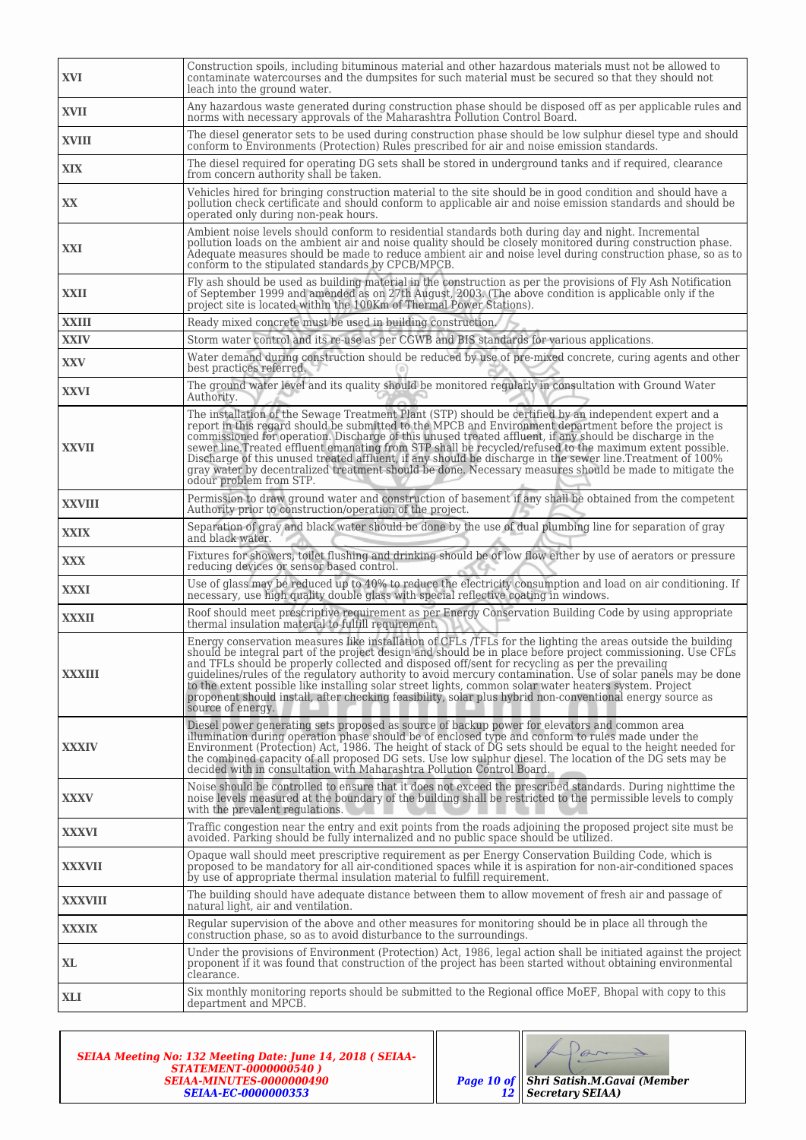| XVI            | Construction spoils, including bituminous material and other hazardous materials must not be allowed to<br>contaminate watercourses and the dumpsites for such material must be secured so that they should not<br>leach into the ground water.                                                                                                                                                                                                                                                                                                                                                                                                                                               |
|----------------|-----------------------------------------------------------------------------------------------------------------------------------------------------------------------------------------------------------------------------------------------------------------------------------------------------------------------------------------------------------------------------------------------------------------------------------------------------------------------------------------------------------------------------------------------------------------------------------------------------------------------------------------------------------------------------------------------|
| XVII           | Any hazardous waste generated during construction phase should be disposed off as per applicable rules and<br>norms with necessary approvals of the Maharashtra Pollution Control Board.                                                                                                                                                                                                                                                                                                                                                                                                                                                                                                      |
| <b>XVIII</b>   | The diesel generator sets to be used during construction phase should be low sulphur diesel type and should<br>conform to Environments (Protection) Rules prescribed for air and noise emission standards.                                                                                                                                                                                                                                                                                                                                                                                                                                                                                    |
| <b>XIX</b>     | The diesel required for operating DG sets shall be stored in underground tanks and if required, clearance<br>from concern authority shall be taken.                                                                                                                                                                                                                                                                                                                                                                                                                                                                                                                                           |
| XX             | Vehicles hired for bringing construction material to the site should be in good condition and should have a<br>pollution check certificate and should conform to applicable air and noise emission standards and should be<br>operated only during non-peak hours.                                                                                                                                                                                                                                                                                                                                                                                                                            |
| XXI            | Ambient noise levels should conform to residential standards both during day and night. Incremental<br>pollution loads on the ambient air and noise quality should be closely monitored during construction phase.<br>Adequate measures should be made to reduce ambient air and noise level during construction phase, so as to<br>conform to the stipulated standards by CPCB/MPCB.                                                                                                                                                                                                                                                                                                         |
| XXII           | Fly ash should be used as building material in the construction as per the provisions of Fly Ash Notification<br>of September 1999 and amended as on 27th August, 2003. (The above condition is applicable only if the<br>project site is located within the 100Km of Thermal Power Stations).                                                                                                                                                                                                                                                                                                                                                                                                |
| <b>XXIII</b>   | Ready mixed concrete must be used in building construction.                                                                                                                                                                                                                                                                                                                                                                                                                                                                                                                                                                                                                                   |
| <b>XXIV</b>    | Storm water control and its re-use as per CGWB and BIS standards for various applications.                                                                                                                                                                                                                                                                                                                                                                                                                                                                                                                                                                                                    |
| <b>XXV</b>     | Water demand during construction should be reduced by use of pre-mixed concrete, curing agents and other<br>best practices referred.                                                                                                                                                                                                                                                                                                                                                                                                                                                                                                                                                          |
| <b>XXVI</b>    | The ground water level and its quality should be monitored regularly in consultation with Ground Water<br>Authority.                                                                                                                                                                                                                                                                                                                                                                                                                                                                                                                                                                          |
| <b>XXVII</b>   | The installation of the Sewage Treatment Plant (STP) should be certified by an independent expert and a<br>report in this regard should be submitted to the MPCB and Environment department before the project is<br>commissioned for operation. Discharge of this unused treated affluent, if any should be discharge in the<br>sewer line.Treated effluent emanating from STP shall be recycled/refused to the maximum extent possible.<br>Discharge of this unused treated affluent, if any should be discharge in the sewer line. Treatment of 100%<br>gray water by decentralized treatment should be done. Necessary measures should be made to mitigate the<br>odour problem from STP. |
| <b>XXVIII</b>  | Permission to draw ground water and construction of basement if any shall be obtained from the competent<br>Authority prior to construction/operation of the project.                                                                                                                                                                                                                                                                                                                                                                                                                                                                                                                         |
| <b>XXIX</b>    | Separation of gray and black water should be done by the use of dual plumbing line for separation of gray<br>and black water.                                                                                                                                                                                                                                                                                                                                                                                                                                                                                                                                                                 |
| <b>XXX</b>     | Fixtures for showers, toilet flushing and drinking should be of low flow either by use of aerators or pressure<br>reducing devices or sensor based control.                                                                                                                                                                                                                                                                                                                                                                                                                                                                                                                                   |
| <b>XXXI</b>    | Use of glass may be reduced up to 40% to reduce the electricity consumption and load on air conditioning. If<br>necessary, use high quality double glass with special reflective coating in windows.                                                                                                                                                                                                                                                                                                                                                                                                                                                                                          |
| <b>XXXII</b>   | Roof should meet prescriptive requirement as per Energy Conservation Building Code by using appropriate<br>thermal insulation material to fulfill requirement.                                                                                                                                                                                                                                                                                                                                                                                                                                                                                                                                |
| XXXIII         | Energy conservation measures like installation of CFLs /TFLs for the lighting the areas outside the building<br>should be integral part of the project design and should be in place before project commissioning. Use CFLs<br>and TFLs should be properly collected and disposed off/sent for recycling as per the prevailing<br>quidelines/rules of the regulatory authority to avoid mercury contamination. Use of solar panels may be done<br>to the extent possible like installing solar street lights, common solar water heaters system. Project<br>proponent should install, after checking feasibility, solar plus hybrid non-conventional energy source as<br>source of energy.    |
| <b>XXXIV</b>   | Diesel power generating sets proposed as source of backup power for elevators and common area<br>illumination during operation phase should be of enclosed type and conform to rules made under the<br>Environment (Protection) Act, 1986. The height of stack of DG sets should be equal to the height needed for<br>the combined capacity of all proposed DG sets. Use low sulphur diesel. The location of the DG sets may be<br>decided with in consultation with Maharashtra Pollution Control Board.                                                                                                                                                                                     |
| <b>XXXV</b>    | Noise should be controlled to ensure that it does not exceed the prescribed standards. During nighttime the<br>noise levels measured at the boundary of the building shall be restricted to the permissible levels to comply<br>with the prevalent regulations.                                                                                                                                                                                                                                                                                                                                                                                                                               |
| <b>XXXVI</b>   | Traffic congestion near the entry and exit points from the roads adjoining the proposed project site must be<br>avoided. Parking should be fully internalized and no public space should be utilized.                                                                                                                                                                                                                                                                                                                                                                                                                                                                                         |
| <b>XXXVII</b>  | Opaque wall should meet prescriptive requirement as per Energy Conservation Building Code, which is<br>proposed to be mandatory for all air-conditioned spaces while it is aspiration for non-air-conditioned spaces<br>by use of appropriate thermal insulation material to fulfill requirement.                                                                                                                                                                                                                                                                                                                                                                                             |
| <b>XXXVIII</b> | The building should have adequate distance between them to allow movement of fresh air and passage of<br>natural light, air and ventilation.                                                                                                                                                                                                                                                                                                                                                                                                                                                                                                                                                  |
| <b>XXXIX</b>   | Regular supervision of the above and other measures for monitoring should be in place all through the<br>construction phase, so as to avoid disturbance to the surroundings.                                                                                                                                                                                                                                                                                                                                                                                                                                                                                                                  |
| XL.            | Under the provisions of Environment (Protection) Act, 1986, legal action shall be initiated against the project<br>proponent if it was found that construction of the project has been started without obtaining environmental<br>clearance.                                                                                                                                                                                                                                                                                                                                                                                                                                                  |
| <b>XLI</b>     | Six monthly monitoring reports should be submitted to the Regional office MoEF, Bhopal with copy to this<br>department and MPCB.                                                                                                                                                                                                                                                                                                                                                                                                                                                                                                                                                              |

*SEIAA Meeting No: 132 Meeting Date: June 14, 2018 ( SEIAA-STATEMENT-0000000540 ) SEIAA-MINUTES-0000000490 SEIAA-EC-0000000353*

*Shri Satish.M.Gavai (Member*

Par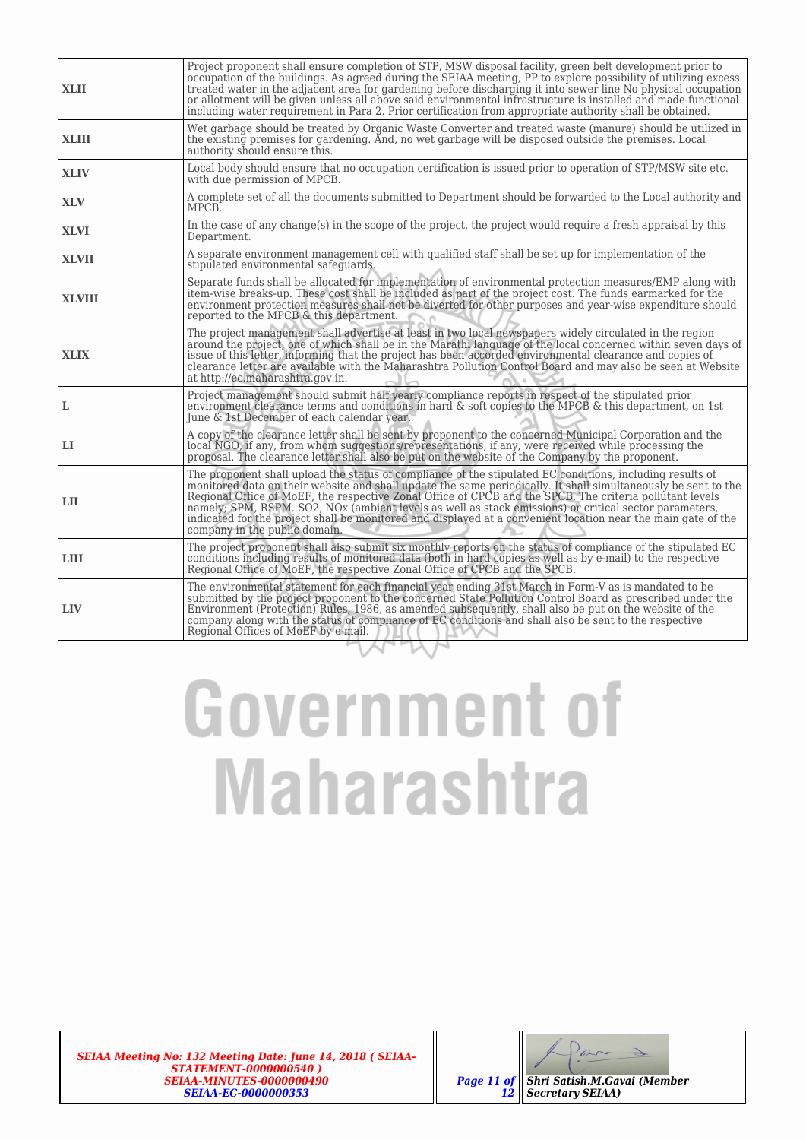| <b>XLII</b>   | Project proponent shall ensure completion of STP, MSW disposal facility, green belt development prior to<br>occupation of the buildings. As agreed during the SEIAA meeting, PP to explore possibility of utilizing excess<br>treated water in the adjacent area for gardening before discharging it into sewer line No physical occupation<br>or allotment will be given unless all above said environmental infrastructure is installed and made functional<br>including water requirement in Para 2. Prior certification from appropriate authority shall be obtained.                           |
|---------------|-----------------------------------------------------------------------------------------------------------------------------------------------------------------------------------------------------------------------------------------------------------------------------------------------------------------------------------------------------------------------------------------------------------------------------------------------------------------------------------------------------------------------------------------------------------------------------------------------------|
| <b>XLIII</b>  | Wet garbage should be treated by Organic Waste Converter and treated waste (manure) should be utilized in<br>the existing premises for gardening. And, no wet garbage will be disposed outside the premises. Local<br>authority should ensure this.                                                                                                                                                                                                                                                                                                                                                 |
| <b>XLIV</b>   | Local body should ensure that no occupation certification is issued prior to operation of STP/MSW site etc.<br>with due permission of MPCB.                                                                                                                                                                                                                                                                                                                                                                                                                                                         |
| <b>XLV</b>    | A complete set of all the documents submitted to Department should be forwarded to the Local authority and<br>MPCB.                                                                                                                                                                                                                                                                                                                                                                                                                                                                                 |
| <b>XLVI</b>   | In the case of any change(s) in the scope of the project, the project would require a fresh appraisal by this<br>Department.                                                                                                                                                                                                                                                                                                                                                                                                                                                                        |
| <b>XLVII</b>  | A separate environment management cell with qualified staff shall be set up for implementation of the<br>stipulated environmental safeguards.                                                                                                                                                                                                                                                                                                                                                                                                                                                       |
| <b>XLVIII</b> | Separate funds shall be allocated for implementation of environmental protection measures/EMP along with<br>item-wise breaks-up. These cost shall be included as part of the project cost. The funds earmarked for the<br>environment protection measures shall not be diverted for other purposes and year-wise expenditure should<br>reported to the MPCB & this department.                                                                                                                                                                                                                      |
| <b>XLIX</b>   | The project management shall advertise at least in two local newspapers widely circulated in the region<br>around the project, one of which shall be in the Marathi language of the local concerned within seven days of<br>issue of this letter, informing that the project has been accorded environmental clearance and copies of<br>clearance letter are available with the Maharashtra Pollution Control Board and may also be seen at Website<br>at http://ec.maharashtra.gov.in.                                                                                                             |
| L             | Project management should submit half yearly compliance reports in respect of the stipulated prior<br>environment clearance terms and conditions in hard & soft copies to the MPCB & this department, on 1st<br>June & 1st December of each calendar year.                                                                                                                                                                                                                                                                                                                                          |
| п             | A copy of the clearance letter shall be sent by proponent to the concerned Municipal Corporation and the<br>local NGO, if any, from whom suggestions/representations, if any, were received while processing the<br>proposal. The clearance letter shall also be put on the website of the Company by the proponent.                                                                                                                                                                                                                                                                                |
| LH            | The proponent shall upload the status of compliance of the stipulated EC conditions, including results of<br>monitored data on their website and shall update the same periodically. It shall simultaneously be sent to the<br>Regional Office of MoEF, the respective Zonal Office of CPCB and the SPCB. The criteria pollutant levels<br>namely; SPM, RSPM, SO2, NOx (ambient levels as well as stack emissions) or critical sector parameters,<br>indicated for the project shall be monitored and displayed at a convenient location near the main gate of the<br>company in the public domain. |
| <b>LIII</b>   | The project proponent shall also submit six monthly reports on the status of compliance of the stipulated EC<br>conditions including results of monitored data (both in hard copies as well as by e-mail) to the respective<br>Regional Office of MoEF, the respective Zonal Office of CPCB and the SPCB.                                                                                                                                                                                                                                                                                           |
| <b>LIV</b>    | The environmental statement for each financial year ending 31st March in Form-V as is mandated to be<br>submitted by the project proponent to the concerned State Pollution Control Board as prescribed under the<br>Environment (Protection) Rules, 1986, as amended subsequently, shall also be put on the website of the<br>company along with the status of compliance of EC conditions and shall also be sent to the respective<br>Regional Offices of MoEF by e-mail.                                                                                                                         |

*SEIAA Meeting No: 132 Meeting Date: June 14, 2018 ( SEIAA-STATEMENT-0000000540 ) SEIAA-MINUTES-0000000490 SEIAA-EC-0000000353*

 $\partial_{\overline{\mathscr{O}}}$